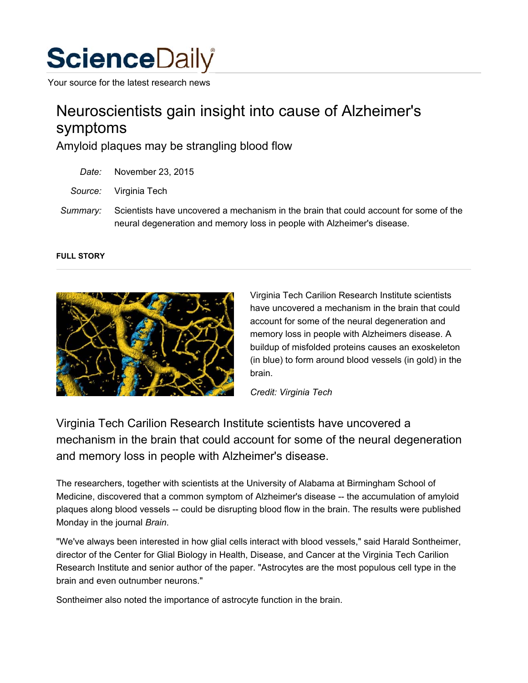

Your source for the latest research news

# Neuroscientists gain insight into cause of Alzheimer's symptoms

Amyloid plaques may be strangling blood flow

- *Date:* November 23, 2015
- *Source:* Virginia Tech
- *Summary:* Scientists have uncovered a mechanism in the brain that could account for some of the neural degeneration and memory loss in people with Alzheimer's disease.

#### **FULL STORY**



Virginia Tech Carilion Research Institute scientists have uncovered a mechanism in the brain that could account for some of the neural degeneration and memory loss in people with Alzheimers disease. A buildup of misfolded proteins causes an exoskeleton (in blue) to form around blood vessels (in gold) in the brain.

*Credit: Virginia Tech*

Virginia Tech Carilion Research Institute scientists have uncovered a mechanism in the brain that could account for some of the neural degeneration and memory loss in people with Alzheimer's disease.

The researchers, together with scientists at the University of Alabama at Birmingham School of Medicine, discovered that a common symptom of Alzheimer's disease -- the accumulation of amyloid plaques along blood vessels -- could be disrupting blood flow in the brain. The results were published Monday in the journal *Brain*.

"We've always been interested in how glial cells interact with blood vessels," said Harald Sontheimer, director of the Center for Glial Biology in Health, Disease, and Cancer at the Virginia Tech Carilion Research Institute and senior author of the paper. "Astrocytes are the most populous cell type in the brain and even outnumber neurons."

Sontheimer also noted the importance of astrocyte function in the brain.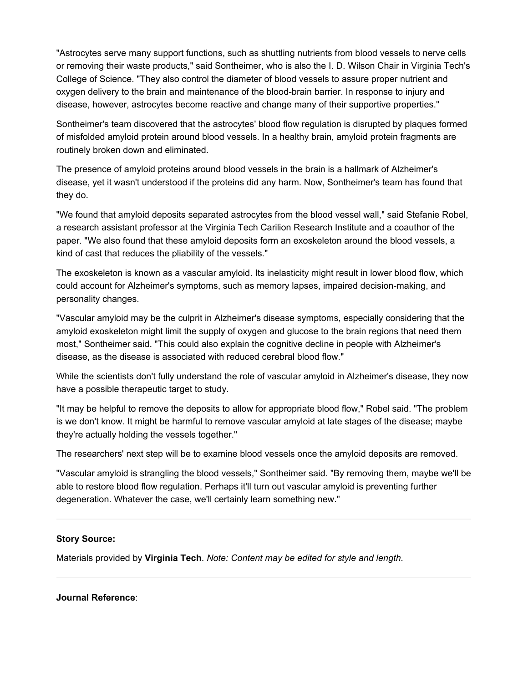"Astrocytes serve many support functions, such as shuttling nutrients from blood vessels to nerve cells or removing their waste products," said Sontheimer, who is also the I. D. Wilson Chair in Virginia Tech's College of Science. "They also control the diameter of blood vessels to assure proper nutrient and oxygen delivery to the brain and maintenance of the blood-brain barrier. In response to injury and disease, however, astrocytes become reactive and change many of their supportive properties."

Sontheimer's team discovered that the astrocytes' blood flow regulation is disrupted by plaques formed of misfolded amyloid protein around blood vessels. In a healthy brain, amyloid protein fragments are routinely broken down and eliminated.

The presence of amyloid proteins around blood vessels in the brain is a hallmark of Alzheimer's disease, yet it wasn't understood if the proteins did any harm. Now, Sontheimer's team has found that they do.

"We found that amyloid deposits separated astrocytes from the blood vessel wall," said Stefanie Robel, a research assistant professor at the Virginia Tech Carilion Research Institute and a coauthor of the paper. "We also found that these amyloid deposits form an exoskeleton around the blood vessels, a kind of cast that reduces the pliability of the vessels."

The exoskeleton is known as a vascular amyloid. Its inelasticity might result in lower blood flow, which could account for Alzheimer's symptoms, such as memory lapses, impaired decision-making, and personality changes.

"Vascular amyloid may be the culprit in Alzheimer's disease symptoms, especially considering that the amyloid exoskeleton might limit the supply of oxygen and glucose to the brain regions that need them most," Sontheimer said. "This could also explain the cognitive decline in people with Alzheimer's disease, as the disease is associated with reduced cerebral blood flow."

While the scientists don't fully understand the role of vascular amyloid in Alzheimer's disease, they now have a possible therapeutic target to study.

"It may be helpful to remove the deposits to allow for appropriate blood flow," Robel said. "The problem is we don't know. It might be harmful to remove vascular amyloid at late stages of the disease; maybe they're actually holding the vessels together."

The researchers' next step will be to examine blood vessels once the amyloid deposits are removed.

"Vascular amyloid is strangling the blood vessels," Sontheimer said. "By removing them, maybe we'll be able to restore blood flow regulation. Perhaps it'll turn out vascular amyloid is preventing further degeneration. Whatever the case, we'll certainly learn something new."

### **Story Source:**

Materials provided by **Virginia Tech**. *Note: Content may be edited for style and length.*

#### **Journal Reference**: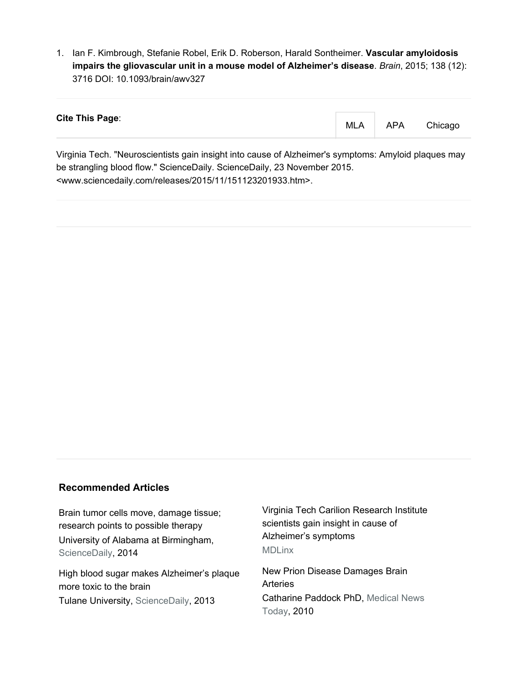1. Ian F. Kimbrough, Stefanie Robel, Erik D. Roberson, Harald Sontheimer. **Vascular amyloidosis impairs the gliovascular unit in a mouse model of Alzheimer's disease**. *Brain*, 2015; 138 (12): 3716 DOI: 10.1093/brain/awv327

| <b>Cite This Page:</b> | <b>MLA</b> | <b>APA</b> | Chicago |
|------------------------|------------|------------|---------|
|------------------------|------------|------------|---------|

Virginia Tech. "Neuroscientists gain insight into cause of Alzheimer's symptoms: Amyloid plaques may be strangling blood flow." ScienceDaily. ScienceDaily, 23 November 2015. <www.sciencedaily.com/releases/2015/11/151123201933.htm>.

## **Recommended Articles**

Brain tumor cells move, damage tissue; research points to possible therapy University of Alabama at Birmingham, ScienceDaily, 2014

High blood sugar makes Alzheimer's plaque more toxic to the brain Tulane University, ScienceDaily, 2013

Virginia Tech Carilion Research Institute scientists gain insight in cause of Alzheimer's symptoms MDLinx

New Prion Disease Damages Brain Arteries Catharine Paddock PhD, Medical News Today, 2010